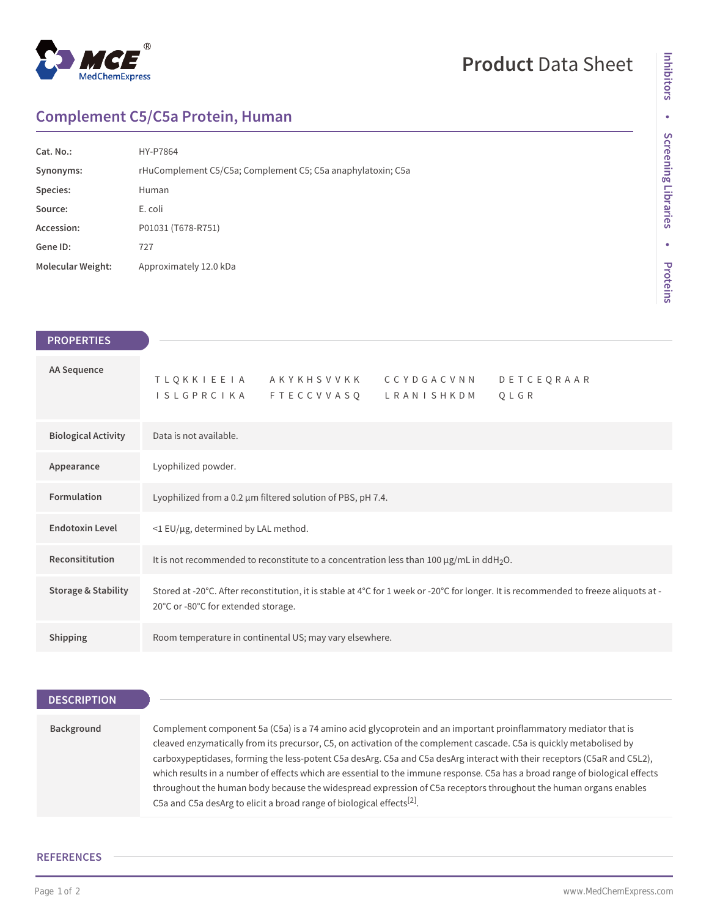

# **Product** Data Sheet

## **Complement C5/C5a Protein, Human**

| Cat. No.:                | HY-P7864                                                    |
|--------------------------|-------------------------------------------------------------|
| Synonyms:                | rHuComplement C5/C5a; Complement C5; C5a anaphylatoxin; C5a |
| Species:                 | Human                                                       |
| Source:                  | E. coli                                                     |
| Accession:               | P01031 (T678-R751)                                          |
| Gene ID:                 | 727                                                         |
| <b>Molecular Weight:</b> | Approximately 12.0 kDa                                      |

| <b>PROPERTIES</b>              |
|--------------------------------|
|                                |
| AA Sequence                    |
|                                |
| <b>Biological Activity</b>     |
| Appearance                     |
| Formulation                    |
| <b>Endotoxin Level</b>         |
| Reconsititution                |
| <b>Storage &amp; Stability</b> |
|                                |
| <b>Shipping</b>                |

## **DESCRIPTION**

| Background | Complement component 5a (C5a) is a 74 amino acid glycoprotein and an important proinflammatory mediator that is              |
|------------|------------------------------------------------------------------------------------------------------------------------------|
|            | cleaved enzymatically from its precursor, C5, on activation of the complement cascade. C5a is quickly metabolised by         |
|            | carboxypeptidases, forming the less-potent C5a desArg, C5a and C5a desArg interact with their receptors (C5aR and C5L2),     |
|            | which results in a number of effects which are essential to the immune response. C5a has a broad range of biological effects |
|            | throughout the human body because the widespread expression of C5a receptors throughout the human organs enables             |
|            | C5a and C5a desArg to elicit a broad range of biological effects <sup>[2]</sup> .                                            |

### **REFERENCES**